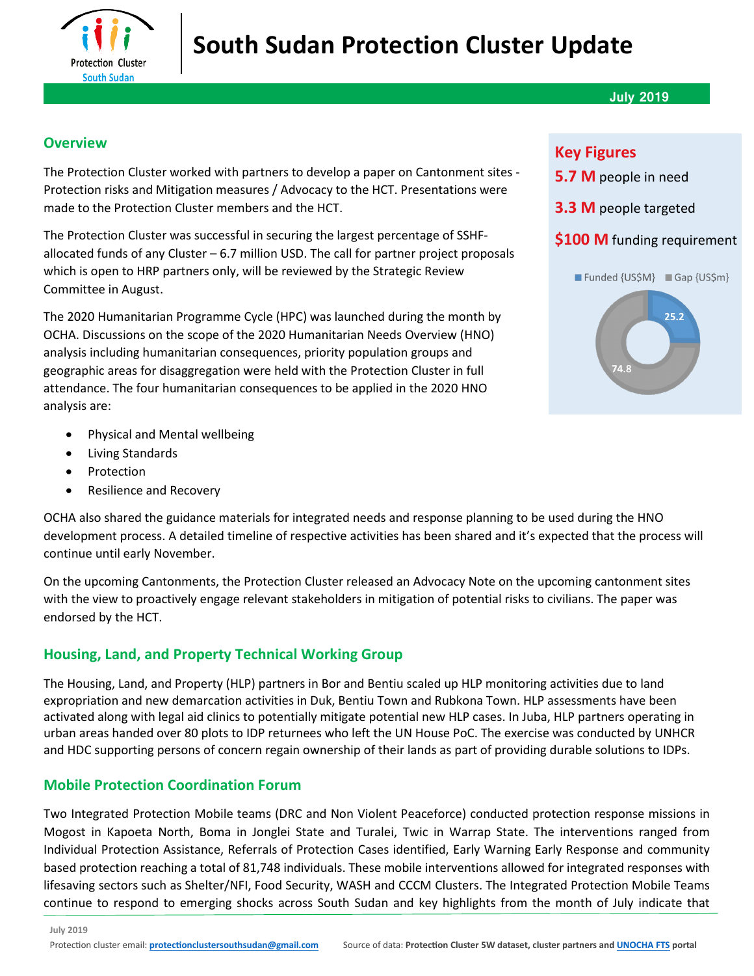

#### **July 2019**

### **Overview**

The Protection Cluster worked with partners to develop a paper on Cantonment sites - Protection risks and Mitigation measures / Advocacy to the HCT. Presentations were made to the Protection Cluster members and the HCT.

The Protection Cluster was successful in securing the largest percentage of SSHFallocated funds of any Cluster – 6.7 million USD. The call for partner project proposals which is open to HRP partners only, will be reviewed by the Strategic Review Committee in August.

The 2020 Humanitarian Programme Cycle (HPC) was launched during the month by OCHA. Discussions on the scope of the 2020 Humanitarian Needs Overview (HNO) analysis including humanitarian consequences, priority population groups and geographic areas for disaggregation were held with the Protection Cluster in full attendance. The four humanitarian consequences to be applied in the 2020 HNO analysis are:

- Physical and Mental wellbeing
- Living Standards
- **Protection**
- Resilience and Recovery

OCHA also shared the guidance materials for integrated needs and response planning to be used during the HNO development process. A detailed timeline of respective activities has been shared and it's expected that the process will continue until early November.

On the upcoming Cantonments, the Protection Cluster released an Advocacy Note on the upcoming cantonment sites with the view to proactively engage relevant stakeholders in mitigation of potential risks to civilians. The paper was endorsed by the HCT.

## **Housing, Land, and Property Technical Working Group**

The Housing, Land, and Property (HLP) partners in Bor and Bentiu scaled up HLP monitoring activities due to land expropriation and new demarcation activities in Duk, Bentiu Town and Rubkona Town. HLP assessments have been activated along with legal aid clinics to potentially mitigate potential new HLP cases. In Juba, HLP partners operating in urban areas handed over 80 plots to IDP returnees who left the UN House PoC. The exercise was conducted by UNHCR and HDC supporting persons of concern regain ownership of their lands as part of providing durable solutions to IDPs.

## **Mobile Protection Coordination Forum**

Two Integrated Protection Mobile teams (DRC and Non Violent Peaceforce) conducted protection response missions in Mogost in Kapoeta North, Boma in Jonglei State and Turalei, Twic in Warrap State. The interventions ranged from Individual Protection Assistance, Referrals of Protection Cases identified, Early Warning Early Response and community based protection reaching a total of 81,748 individuals. These mobile interventions allowed for integrated responses with lifesaving sectors such as Shelter/NFI, Food Security, WASH and CCCM Clusters. The Integrated Protection Mobile Teams continue to respond to emerging shocks across South Sudan and key highlights from the month of July indicate that

# **Key Figures**

- **5.7 M** people in need
- **3.3 M** people targeted

### **\$100 M** funding requirement

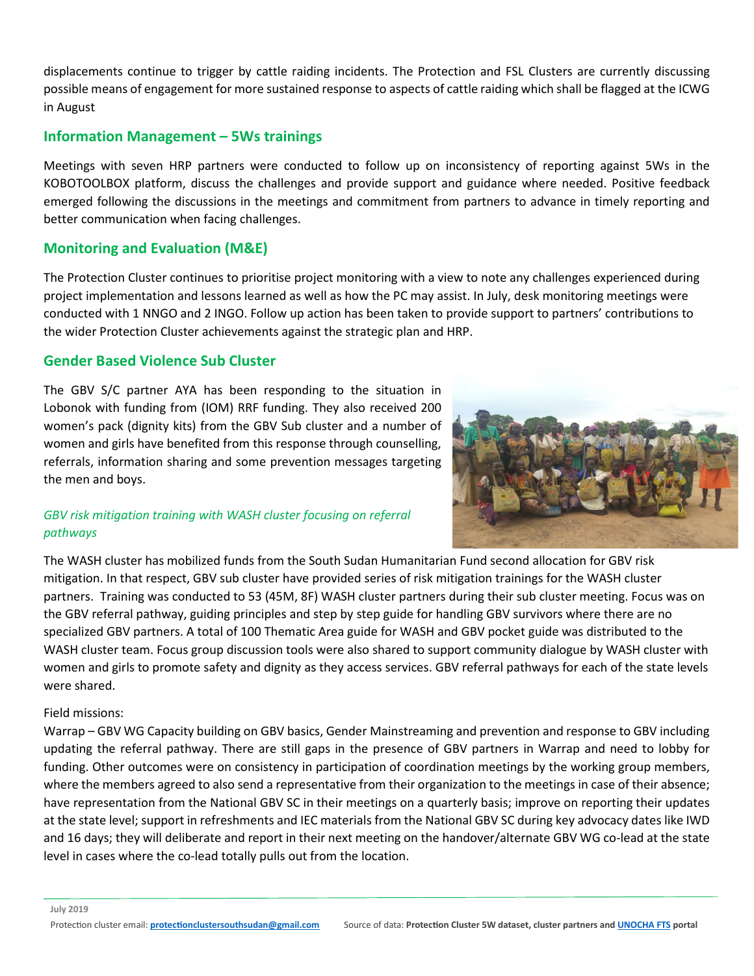displacements continue to trigger by cattle raiding incidents. The Protection and FSL Clusters are currently discussing possible means of engagement for more sustained response to aspects of cattle raiding which shall be flagged at the ICWG in August

#### **Information Management – 5Ws trainings**

Meetings with seven HRP partners were conducted to follow up on inconsistency of reporting against 5Ws in the KOBOTOOLBOX platform, discuss the challenges and provide support and guidance where needed. Positive feedback emerged following the discussions in the meetings and commitment from partners to advance in timely reporting and better communication when facing challenges.

## **Monitoring and Evaluation (M&E)**

The Protection Cluster continues to prioritise project monitoring with a view to note any challenges experienced during project implementation and lessons learned as well as how the PC may assist. In July, desk monitoring meetings were conducted with 1 NNGO and 2 INGO. Follow up action has been taken to provide support to partners' contributions to the wider Protection Cluster achievements against the strategic plan and HRP.

#### **Gender Based Violence Sub Cluster**

The GBV S/C partner AYA has been responding to the situation in Lobonok with funding from (IOM) RRF funding. They also received 200 women's pack (dignity kits) from the GBV Sub cluster and a number of women and girls have benefited from this response through counselling, referrals, information sharing and some prevention messages targeting the men and boys.



#### *GBV risk mitigation training with WASH cluster focusing on referral pathways*

The WASH cluster has mobilized funds from the South Sudan Humanitarian Fund second allocation for GBV risk mitigation. In that respect, GBV sub cluster have provided series of risk mitigation trainings for the WASH cluster partners. Training was conducted to 53 (45M, 8F) WASH cluster partners during their sub cluster meeting. Focus was on the GBV referral pathway, guiding principles and step by step guide for handling GBV survivors where there are no specialized GBV partners. A total of 100 Thematic Area guide for WASH and GBV pocket guide was distributed to the WASH cluster team. Focus group discussion tools were also shared to support community dialogue by WASH cluster with women and girls to promote safety and dignity as they access services. GBV referral pathways for each of the state levels were shared.

#### Field missions:

Warrap – GBV WG Capacity building on GBV basics, Gender Mainstreaming and prevention and response to GBV including updating the referral pathway. There are still gaps in the presence of GBV partners in Warrap and need to lobby for funding. Other outcomes were on consistency in participation of coordination meetings by the working group members, where the members agreed to also send a representative from their organization to the meetings in case of their absence; have representation from the National GBV SC in their meetings on a quarterly basis; improve on reporting their updates at the state level; support in refreshments and IEC materials from the National GBV SC during key advocacy dates like IWD and 16 days; they will deliberate and report in their next meeting on the handover/alternate GBV WG co-lead at the state level in cases where the co-lead totally pulls out from the location.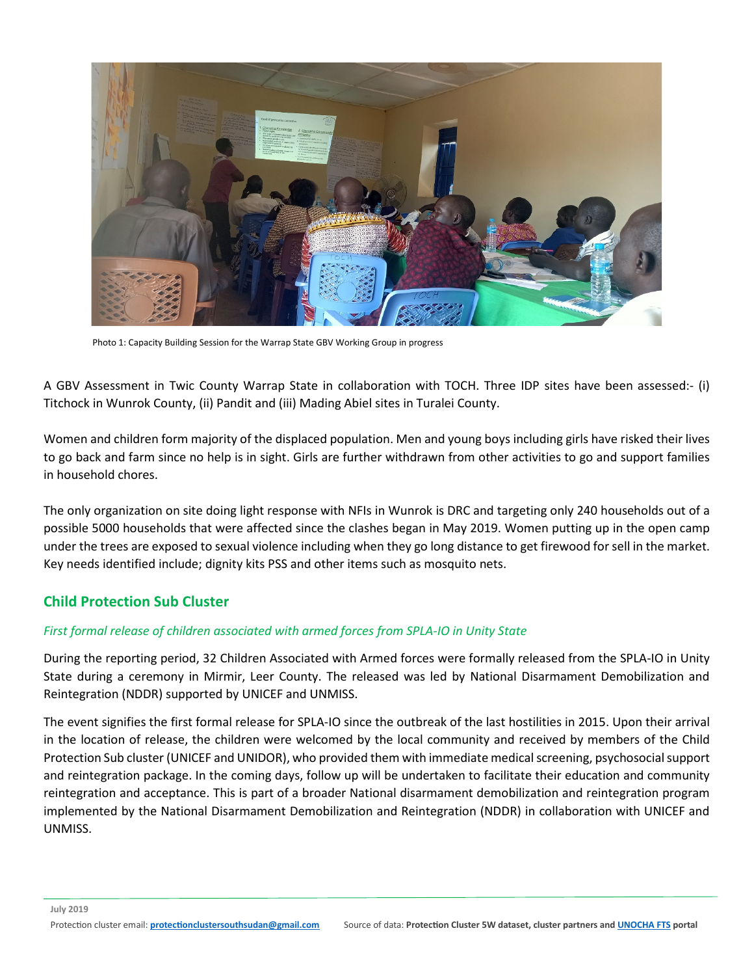

Photo 1: Capacity Building Session for the Warrap State GBV Working Group in progress

A GBV Assessment in Twic County Warrap State in collaboration with TOCH. Three IDP sites have been assessed:- (i) Titchock in Wunrok County, (ii) Pandit and (iii) Mading Abiel sites in Turalei County.

Women and children form majority of the displaced population. Men and young boys including girls have risked their lives to go back and farm since no help is in sight. Girls are further withdrawn from other activities to go and support families in household chores.

The only organization on site doing light response with NFIs in Wunrok is DRC and targeting only 240 households out of a possible 5000 households that were affected since the clashes began in May 2019. Women putting up in the open camp under the trees are exposed to sexual violence including when they go long distance to get firewood for sell in the market. Key needs identified include; dignity kits PSS and other items such as mosquito nets.

#### **Child Protection Sub Cluster**

#### *First formal release of children associated with armed forces from SPLA-IO in Unity State*

During the reporting period, 32 Children Associated with Armed forces were formally released from the SPLA-IO in Unity State during a ceremony in Mirmir, Leer County. The released was led by National Disarmament Demobilization and Reintegration (NDDR) supported by UNICEF and UNMISS.

The event signifies the first formal release for SPLA-IO since the outbreak of the last hostilities in 2015. Upon their arrival in the location of release, the children were welcomed by the local community and received by members of the Child Protection Sub cluster (UNICEF and UNIDOR), who provided them with immediate medical screening, psychosocial support and reintegration package. In the coming days, follow up will be undertaken to facilitate their education and community reintegration and acceptance. This is part of a broader National disarmament demobilization and reintegration program implemented by the National Disarmament Demobilization and Reintegration (NDDR) in collaboration with UNICEF and UNMISS.

**July 2019**